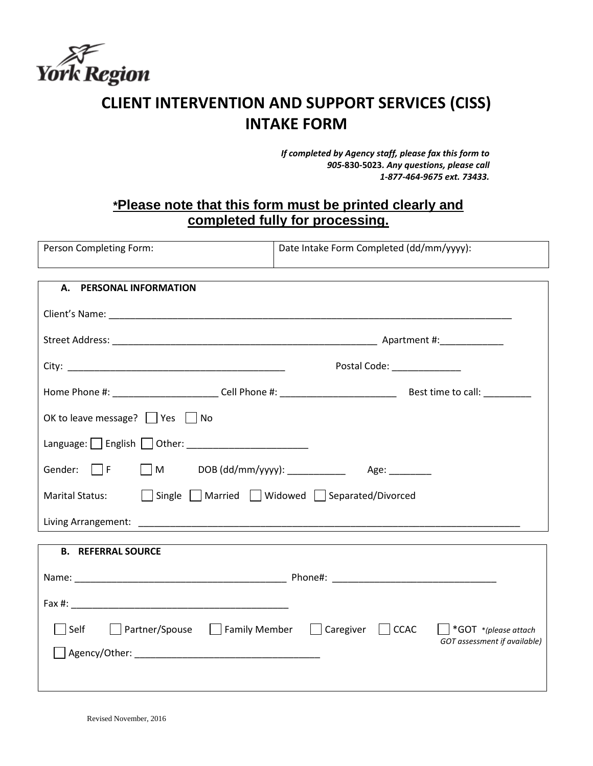

## **CLIENT INTERVENTION AND SUPPORT SERVICES (CISS) INTAKE FORM**

*If completed by Agency staff, please fax this form to 905-***830-5023***. Any questions, please call 1-877-464-9675 ext. 73433.*

## **\*Please note that this form must be printed clearly and completed fully for processing.**

| Person Completing Form: | Date Intake Form Completed (dd/mm/yyyy): |  |  |
|-------------------------|------------------------------------------|--|--|
|                         |                                          |  |  |

| <b>PERSONAL INFORMATION</b><br>А.                                                         |
|-------------------------------------------------------------------------------------------|
|                                                                                           |
|                                                                                           |
| Postal Code: ______________                                                               |
|                                                                                           |
| OK to leave message? $\Box$ Yes $\Box$ No                                                 |
|                                                                                           |
| Gender: $\Box$ F $\Box$ M DOB (dd/mm/yyyy): ______________ Age: ________                  |
| Marital Status: $\Box$ Single $\Box$ Married $\Box$ Widowed $\Box$ Separated/Divorced     |
|                                                                                           |
|                                                                                           |
| <b>B. REFERRAL SOURCE</b>                                                                 |
|                                                                                           |
|                                                                                           |
| □ Partner/Spouse □ Family Member □ Caregiver □ CCAC □ *GOT *(please attach<br>$\Box$ Self |
| GOT assessment if available)                                                              |
|                                                                                           |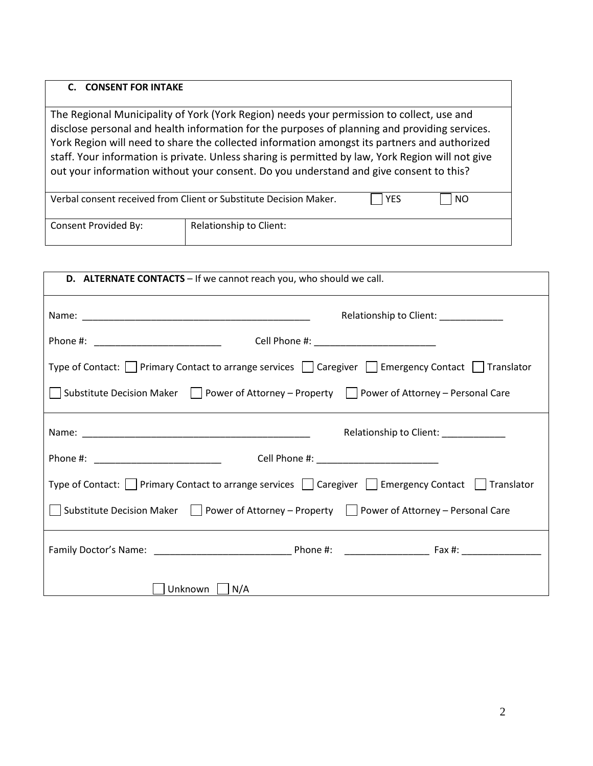## **C. CONSENT FOR INTAKE**

The Regional Municipality of York (York Region) needs your permission to collect, use and disclose personal and health information for the purposes of planning and providing services. York Region will need to share the collected information amongst its partners and authorized staff. Your information is private. Unless sharing is permitted by law, York Region will not give out your information without your consent. Do you understand and give consent to this?

| Verbal consent received from Client or Substitute Decision Maker. |                         | <b>YES</b> | NO. |
|-------------------------------------------------------------------|-------------------------|------------|-----|
| Consent Provided By:                                              | Relationship to Client: |            |     |

| D. ALTERNATE CONTACTS - If we cannot reach you, who should we call.                                                     |
|-------------------------------------------------------------------------------------------------------------------------|
| Relationship to Client: ____________                                                                                    |
| Phone #: ________________________________                                                                               |
| Type of Contact: $\Box$ Primary Contact to arrange services $\Box$ Caregiver $\Box$ Emergency Contact $\Box$ Translator |
| Substitute Decision Maker Power of Attorney - Property Power of Attorney - Personal Care                                |
| Relationship to Client: ____________                                                                                    |
|                                                                                                                         |
| Type of Contact: $\Box$ Primary Contact to arrange services $\Box$ Caregiver $\Box$ Emergency Contact $\Box$ Translator |
| Substitute Decision Maker   Power of Attorney – Property   Power of Attorney – Personal Care                            |
|                                                                                                                         |
| Unknown<br>$\vert N/A \vert$                                                                                            |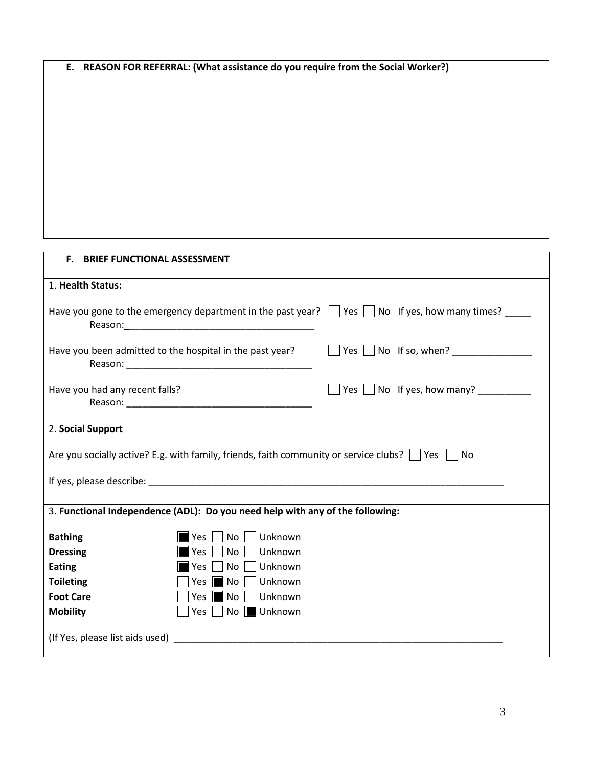| E. REASON FOR REFERRAL: (What assistance do you require from the Social Worker?)                                                                                                                                               |
|--------------------------------------------------------------------------------------------------------------------------------------------------------------------------------------------------------------------------------|
|                                                                                                                                                                                                                                |
|                                                                                                                                                                                                                                |
|                                                                                                                                                                                                                                |
|                                                                                                                                                                                                                                |
|                                                                                                                                                                                                                                |
|                                                                                                                                                                                                                                |
|                                                                                                                                                                                                                                |
|                                                                                                                                                                                                                                |
|                                                                                                                                                                                                                                |
|                                                                                                                                                                                                                                |
|                                                                                                                                                                                                                                |
| F. BRIEF FUNCTIONAL ASSESSMENT                                                                                                                                                                                                 |
| 1. Health Status:                                                                                                                                                                                                              |
| Have you gone to the emergency department in the past year? $\Box$ Yes $\Box$ No If yes, how many times? $\Box$                                                                                                                |
| Reason: Note and the second contract of the second contract of the second contract of the second contract of the second contract of the second contract of the second contract of the second contract of the second contract o |
| Have you been admitted to the hospital in the past year?                                                                                                                                                                       |
|                                                                                                                                                                                                                                |
|                                                                                                                                                                                                                                |
| $\Box$ Yes $\Box$ No If yes, how many? ____________<br>Have you had any recent falls?                                                                                                                                          |
|                                                                                                                                                                                                                                |
| 2. Social Support                                                                                                                                                                                                              |
|                                                                                                                                                                                                                                |
| Are you socially active? E.g. with family, friends, faith community or service clubs? $\Box$ Yes $\Box$ No                                                                                                                     |
|                                                                                                                                                                                                                                |
|                                                                                                                                                                                                                                |
| 3. Functional Independence (ADL): Do you need help with any of the following:                                                                                                                                                  |
| Unknown<br><b>Bathing</b><br>Yes<br>No                                                                                                                                                                                         |
| <b>Dressing</b><br>Unknown<br>No<br>Yes                                                                                                                                                                                        |
| <b>Eating</b><br>No<br>Unknown<br>Yes                                                                                                                                                                                          |
| <b>Toileting</b><br>No<br>Unknown<br>Yes                                                                                                                                                                                       |
| <b>Foot Care</b><br>Unknown<br>No<br>Yes                                                                                                                                                                                       |
| No <b>I</b> Unknown<br><b>Mobility</b><br>Yes                                                                                                                                                                                  |
| (If Yes, please list aids used)<br><u> 1980 - Jan James James Barbara, martin d</u>                                                                                                                                            |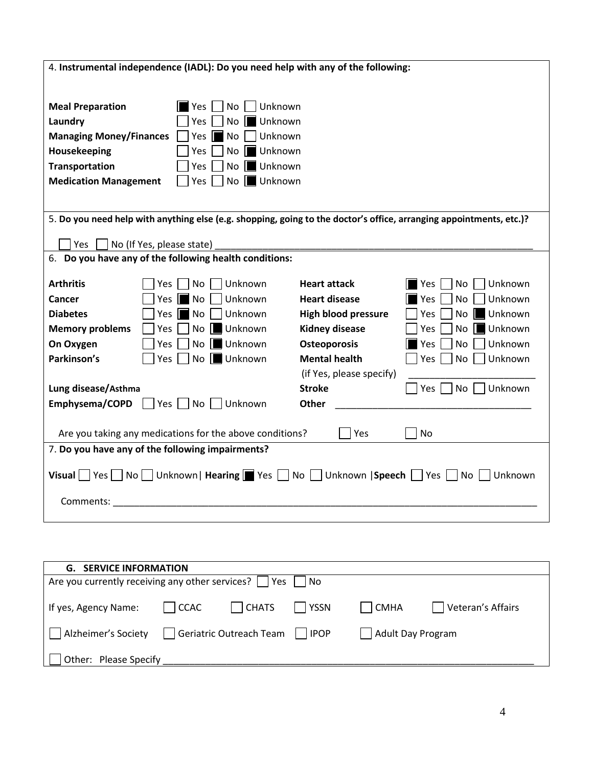| 4. Instrumental independence (IADL): Do you need help with any of the following:                                                                                                               |                                                                                                       |                            |                             |  |
|------------------------------------------------------------------------------------------------------------------------------------------------------------------------------------------------|-------------------------------------------------------------------------------------------------------|----------------------------|-----------------------------|--|
|                                                                                                                                                                                                |                                                                                                       |                            |                             |  |
| <b>Meal Preparation</b><br><b>Yes</b><br>Laundry<br>Yes<br><b>Managing Money/Finances</b><br>Yes<br>Housekeeping<br>Yes<br><b>Transportation</b><br>Yes<br><b>Medication Management</b><br>Yes | No<br>Unknown<br>Unknown<br>No.<br>Unknown<br>No<br>Unknown<br>No<br>Unknown<br>No<br>Unknown<br>No I |                            |                             |  |
| 5. Do you need help with anything else (e.g. shopping, going to the doctor's office, arranging appointments, etc.)?                                                                            |                                                                                                       |                            |                             |  |
| <b>Yes</b><br>No (If Yes, please state)                                                                                                                                                        |                                                                                                       |                            |                             |  |
| 6. Do you have any of the following health conditions:                                                                                                                                         |                                                                                                       |                            |                             |  |
| <b>Arthritis</b><br>No<br>Yes                                                                                                                                                                  | Unknown                                                                                               | <b>Heart attack</b>        | Unknown<br>ll Yes<br>No     |  |
| Cancer<br>Yes II<br>$\blacksquare$ No                                                                                                                                                          | Unknown                                                                                               | <b>Heart disease</b>       | Unknown<br>Yes<br>No        |  |
| <b>Diabetes</b><br>$\blacksquare$ No<br>Yes I                                                                                                                                                  | Unknown                                                                                               | <b>High blood pressure</b> | Unknown<br>Yes<br>No        |  |
| <b>Memory problems</b><br>No<br>Yes.                                                                                                                                                           | Unknown                                                                                               | <b>Kidney disease</b>      | Unknown<br><b>Yes</b><br>No |  |
| On Oxygen<br>Yes                                                                                                                                                                               | Unknown<br>No II                                                                                      | <b>Osteoporosis</b>        | Unknown<br><b>Yes</b><br>No |  |
| Parkinson's<br>Yes                                                                                                                                                                             | No   Unknown                                                                                          | <b>Mental health</b>       | Yes<br><b>No</b><br>Unknown |  |
|                                                                                                                                                                                                |                                                                                                       | (if Yes, please specify)   |                             |  |
| Lung disease/Asthma                                                                                                                                                                            |                                                                                                       | <b>Stroke</b>              | No<br>Unknown<br>  Yes      |  |
| Yes $\Box$ No $\Box$<br>Emphysema/COPD                                                                                                                                                         | Unknown                                                                                               | <b>Other</b>               |                             |  |
| Are you taking any medications for the above conditions?<br>Yes<br>No                                                                                                                          |                                                                                                       |                            |                             |  |
| 7. Do you have any of the following impairments?                                                                                                                                               |                                                                                                       |                            |                             |  |
| Visual Yes No Unknown   Hearing Yes No Unknown   Speech Yes No Unknown                                                                                                                         |                                                                                                       |                            |                             |  |
| Comments:                                                                                                                                                                                      |                                                                                                       |                            |                             |  |
|                                                                                                                                                                                                |                                                                                                       |                            |                             |  |
|                                                                                                                                                                                                |                                                                                                       |                            |                             |  |

| <b>G. SERVICE INFORMATION</b>                                              |                      |                       |                   |              |                   |
|----------------------------------------------------------------------------|----------------------|-----------------------|-------------------|--------------|-------------------|
| Are you currently receiving any other services? $\vert \ \vert$ Yes<br>No. |                      |                       |                   |              |                   |
|                                                                            |                      |                       |                   |              |                   |
| If yes, Agency Name:                                                       | $\vert$ $\vert$ CCAC | $\vert$ $\vert$ CHATS | YSSN              | $\vert$ CMHA | Veteran's Affairs |
| Geriatric Outreach Team □ IPOP<br>Alzheimer's Society                      |                      |                       | Adult Day Program |              |                   |
| Other: Please Specify                                                      |                      |                       |                   |              |                   |